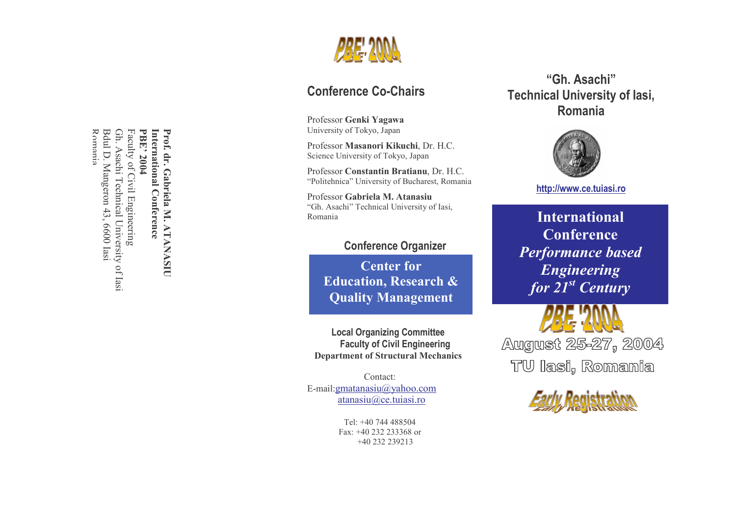

# Conference Co-Chairs

Professor Genki Yagawa University of Tokyo, Japan

Center

Professor Masanori Kikuchi, Dr. H.C. Science University of Tokyo, Japan

Professor Constantin Bratianu, Dr. H.C. "Politehnica" University of Bucharest, Romania

Professor Gabriela M. Atanasiu "Gh. Asachi" Technical University of Iasi, Romania

# Conference Organizer

Center for Education, Research & Quality Management

 Local Organizing Committee Faculty of Civil Engineering Department of Structural Mechanics

Contact: E-mail:gmatanasiu@yahoo.com atanasiu@ce.tuiasi.ro

> Tel: +40 744 488504 Fax: +40 232 233368 or +40 232 239213

"Gh. Asachi" Technical University of Iasi, Romania



# http://www.ce.tuiasi.ro

International **Conference** Performance based Engineering for  $21^{st}$  Century

August 25-27, 2004 TU lasi, Romania



Romania Bdul D. Mangeron 43, 6600 Iasi Bdul D. Mangeron 43, 6600 Iasi Gh. Asachi Technical University of Iasi Gh. Asachi Technical University of Iasi Faculty of Civil Engineering<br>Faculty of Civil Engineering Faculty of Civil Engineering PBE' 2004 PBE' 2004 **International Conference** International Conference Prof. dr. Gabriela M. ATANASIU Romania

Prof. dr. Gabriela M. ATANASIU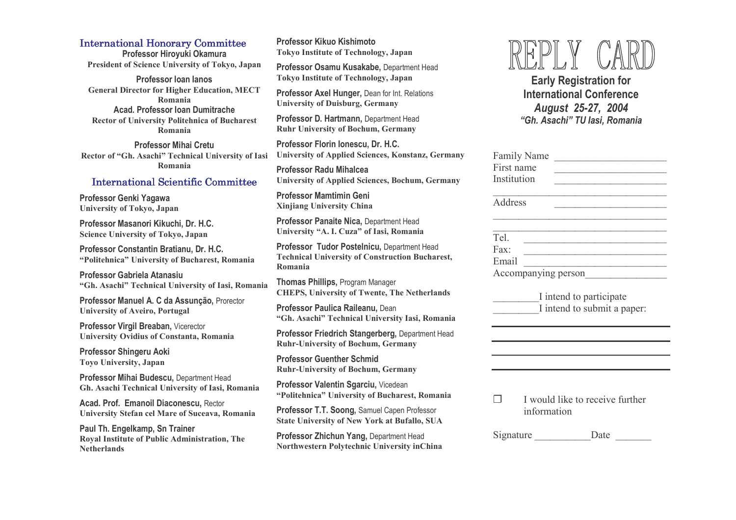## **International Honorary Committee**

Professor Hiroyuki Okamura President of Science University of Tokyo, Japan

Professor Ioan Ianos General Director for Higher Education, MECT Romania Acad. Professor Ioan Dumitrache Rector of University Politehnica of Bucharest Romania

Professor Mihai Cretu Rector of "Gh. Asachi" Technical University of Iasi Romania

# International Scientific Committee

Professor Genki Yagawa University of Tokyo, Japan

Professor Masanori Kikuchi, Dr. H.C. Science University of Tokyo, Japan

Professor Constantin Bratianu, Dr. H.C. "Politehnica" University of Bucharest, Romania

Professor Gabriela Atanasiu "Gh. Asachi" Technical University of Iasi, Romania

Professor Manuel A. C da Assunção, Prorector University of Aveiro, Portugal

Professor Virgil Breaban, Vicerector University Ovidius of Constanta, Romania

Professor Shingeru Aoki Toyo University, Japan

Professor Mihai Budescu, Department Head Gh. Asachi Technical University of Iasi, Romania

Acad. Prof. Emanoil Diaconescu, Rector University Stefan cel Mare of Suceava, Romania

Paul Th. Engelkamp, Sn Trainer Royal Institute of Public Administration, The **Netherlands** 

Professor Kikuo Kishimoto Tokyo Institute of Technology, Japan

Professor Osamu Kusakabe, Department Head Tokyo Institute of Technology, Japan

Professor Axel Hunger, Dean for Int. Relations University of Duisburg, Germany

Professor D. Hartmann, Department Head Ruhr University of Bochum, Germany

Professor Florin Ionescu, Dr. H.C. University of Applied Sciences, Konstanz, Germany

Professor Radu Mihalcea University of Applied Sciences, Bochum, Germany

Professor Mamtimin Geni Xinjiang University China

Professor Panaite Nica, Department Head University "A. I. Cuza" of Iasi, Romania

Professor Tudor Postelnicu, Department Head Technical University of Construction Bucharest, Romania

Thomas Phillips, Program Manager CHEPS, University of Twente, The Netherlands

Professor Paulica Raileanu, Dean "Gh. Asachi" Technical University Iasi, Romania

Professor Friedrich Stangerberg, Department Head Ruhr-University of Bochum, Germany

Professor Guenther Schmid Ruhr-University of Bochum, Germany

Professor Valentin Sgarciu, Vicedean "Politehnica" University of Bucharest, Romania

Professor T.T. Soong, Samuel Capen Professor State University of New York at Bufallo, SUA

Professor Zhichun Yang, Department Head Northwestern Polytechnic University inChina



Early Registration for International Conference August 25-27, 2004 "Gh. Asachi" TU Iasi, Romania

| <b>Family Name</b>  |  |
|---------------------|--|
| First name          |  |
| Institution         |  |
|                     |  |
| Address             |  |
|                     |  |
|                     |  |
| Tel.                |  |
| Fax:                |  |
| Email               |  |
| Accompanying person |  |
|                     |  |

\_\_\_\_\_\_\_\_\_I intend to participate I intend to submit a paper:

 $\Box$  I would like to receive further information

Signature Date